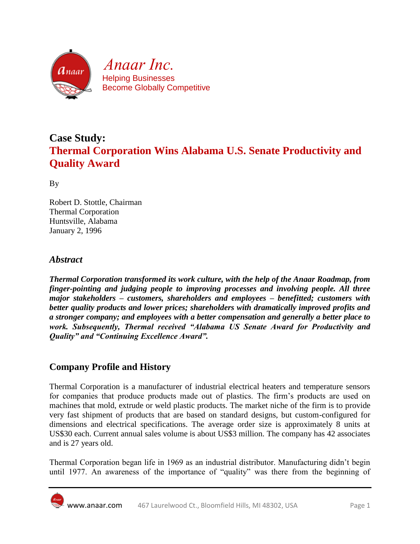

# **Case Study: Thermal Corporation Wins Alabama U.S. Senate Productivity and Quality Award**

By

Robert D. Stottle, Chairman Thermal Corporation Huntsville, Alabama January 2, 1996

#### *Abstract*

*Thermal Corporation transformed its work culture, with the help of the Anaar Roadmap, from finger-pointing and judging people to improving processes and involving people. All three major stakeholders – customers, shareholders and employees – benefitted; customers with better quality products and lower prices; shareholders with dramatically improved profits and a stronger company; and employees with a better compensation and generally a better place to work. Subsequently, Thermal received "Alabama US Senate Award for Productivity and Quality" and "Continuing Excellence Award".*

### **Company Profile and History**

Thermal Corporation is a manufacturer of industrial electrical heaters and temperature sensors for companies that produce products made out of plastics. The firm's products are used on machines that mold, extrude or weld plastic products. The market niche of the firm is to provide very fast shipment of products that are based on standard designs, but custom-configured for dimensions and electrical specifications. The average order size is approximately 8 units at US\$30 each. Current annual sales volume is about US\$3 million. The company has 42 associates and is 27 years old.

Thermal Corporation began life in 1969 as an industrial distributor. Manufacturing didn't begin until 1977. An awareness of the importance of "quality" was there from the beginning of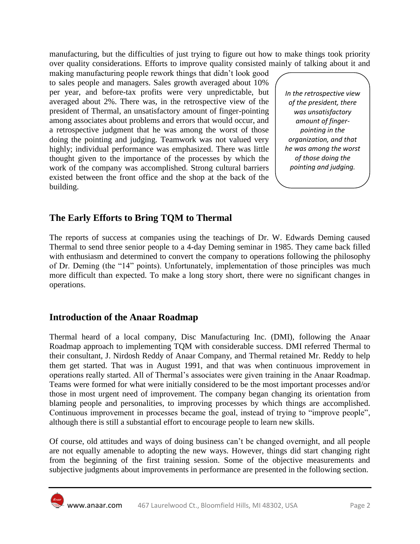manufacturing, but the difficulties of just trying to figure out how to make things took priority over quality considerations. Efforts to improve quality consisted mainly of talking about it and

making manufacturing people rework things that didn't look good to sales people and managers. Sales growth averaged about 10% per year, and before-tax profits were very unpredictable, but averaged about 2%. There was, in the retrospective view of the president of Thermal, an unsatisfactory amount of finger-pointing among associates about problems and errors that would occur, and a retrospective judgment that he was among the worst of those doing the pointing and judging. Teamwork was not valued very highly; individual performance was emphasized. There was little thought given to the importance of the processes by which the work of the company was accomplished. Strong cultural barriers existed between the front office and the shop at the back of the building.

*In the retrospective view of the president, there was unsatisfactory amount of fingerpointing in the organization, and that he was among the worst of those doing the pointing and judging.*

## **The Early Efforts to Bring TQM to Thermal**

The reports of success at companies using the teachings of Dr. W. Edwards Deming caused Thermal to send three senior people to a 4-day Deming seminar in 1985. They came back filled with enthusiasm and determined to convert the company to operations following the philosophy of Dr. Deming (the "14" points). Unfortunately, implementation of those principles was much more difficult than expected. To make a long story short, there were no significant changes in operations.

#### **Introduction of the Anaar Roadmap**

Thermal heard of a local company, Disc Manufacturing Inc. (DMI), following the Anaar Roadmap approach to implementing TQM with considerable success. DMI referred Thermal to their consultant, J. Nirdosh Reddy of Anaar Company, and Thermal retained Mr. Reddy to help them get started. That was in August 1991, and that was when continuous improvement in operations really started. All of Thermal's associates were given training in the Anaar Roadmap. Teams were formed for what were initially considered to be the most important processes and/or those in most urgent need of improvement. The company began changing its orientation from blaming people and personalities, to improving processes by which things are accomplished. Continuous improvement in processes became the goal, instead of trying to "improve people", although there is still a substantial effort to encourage people to learn new skills.

Of course, old attitudes and ways of doing business can't be changed overnight, and all people are not equally amenable to adopting the new ways. However, things did start changing right from the beginning of the first training session. Some of the objective measurements and subjective judgments about improvements in performance are presented in the following section.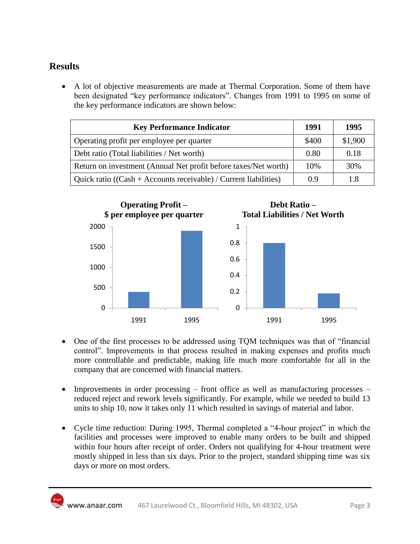## **Results**

 A lot of objective measurements are made at Thermal Corporation. Some of them have been designated "key performance indicators". Changes from 1991 to 1995 on some of the key performance indicators are shown below:

| <b>Key Performance Indicator</b>                                    | 1991  | 1995    |
|---------------------------------------------------------------------|-------|---------|
| Operating profit per employee per quarter                           | \$400 | \$1,900 |
| Debt ratio (Total liabilities / Net worth)                          | 0.80  | 0.18    |
| Return on investment (Annual Net profit before taxes/Net worth)     | 10%   | 30%     |
| Quick ratio ( $(Cash + Accounts$ receivable) / Current liabilities) | 0.9   | 1.8     |



- One of the first processes to be addressed using TQM techniques was that of "financial control". Improvements in that process resulted in making expenses and profits much more controllable and predictable, making life much more comfortable for all in the company that are concerned with financial matters.
- Improvements in order processing front office as well as manufacturing processes reduced reject and rework levels significantly. For example, while we needed to build 13 units to ship 10, now it takes only 11 which resulted in savings of material and labor.
- Cycle time reduction: During 1995, Thermal completed a "4-hour project" in which the facilities and processes were improved to enable many orders to be built and shipped within four hours after receipt of order. Orders not qualifying for 4-hour treatment were mostly shipped in less than six days. Prior to the project, standard shipping time was six days or more on most orders.